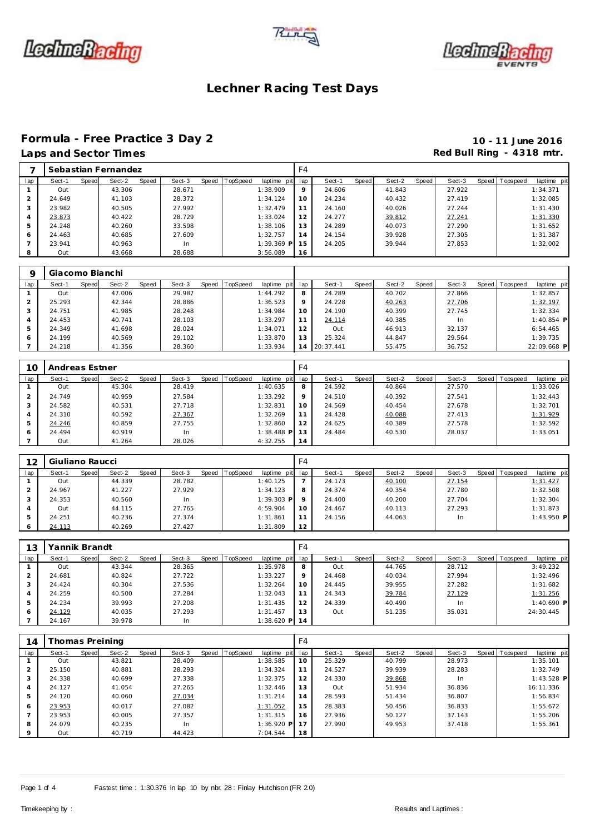





### **Formula - Free Practice 3 Day 2 10 - 11 June 2016**

 23.941 40.963 In 1:39.369 **P** Out 43.668 28.688 3:56.089

24.205 39.944 27.853 1:32.002

Speed T opspeed laptime pit

|     | Laps and Sector Times |       |                     |       |        |                |                 |         |        |       |        |       | Red Bull Ring - 4318 mtr. |                |           |
|-----|-----------------------|-------|---------------------|-------|--------|----------------|-----------------|---------|--------|-------|--------|-------|---------------------------|----------------|-----------|
|     |                       |       | Sebastian Fernandez |       |        |                |                 | F4      |        |       |        |       |                           |                |           |
| lap | Sect-1                | Speed | Sect-2              | Speed | Sect-3 | Speed TopSpeed | laptime pit lap |         | Sect-1 | Speed | Sect-2 | Speed | Sect-3                    | Speed Topspeed | laptime p |
|     | Out                   |       | 43.306              |       | 28.671 |                | 1:38.909        | $\circ$ | 24.606 |       | 41.843 |       | 27.922                    |                | 1:34.371  |
|     | 24.649                |       | 41.103              |       | 28.372 |                | 1:34.124        | 10      | 24.234 |       | 40.432 |       | 27.419                    |                | 1:32.085  |
|     | 23.982                |       | 40.505              |       | 27.992 |                | 1:32.479        |         | 24.160 |       | 40.026 |       | 27.244                    |                | 1:31.430  |
| 4   | 23.873                |       | 40.422              |       | 28.729 |                | 1:33.024        | 12      | 24.277 |       | 39.812 |       | 27.241                    |                | 1:31.330  |
| 5   | 24.248                |       | 40.260              |       | 33.598 |                | 1:38.106        | 13      | 24.289 |       | 40.073 |       | 27.290                    |                | 1:31.652  |
| 6   | 24.463                |       | 40.685              |       | 27.609 |                | 1:32.757        | 14      | 24.154 |       | 39.928 |       | 27.305                    |                | 1:31.387  |

| $\circ$ | Giacomo Bianchi |                 |        |                                     |    |                 |                 |           |                                |
|---------|-----------------|-----------------|--------|-------------------------------------|----|-----------------|-----------------|-----------|--------------------------------|
| lap     | Sect-1<br>Speed | Sect-2<br>Speed | Sect-3 | Speed   TopSpeed<br>laptime pit lap |    | Speed<br>Sect-1 | Sect-2<br>Speed | Sect-3    | Speed Tops peed<br>laptime pit |
|         | Out             | 47.006          | 29.987 | 1:44.292                            | 8  | 24.289          | 40.702          | 27.866    | 1:32.857                       |
|         | 25.293          | 42.344          | 28.886 | 1:36.523                            | 9  | 24.228          | 40.263          | 27.706    | 1:32.197                       |
|         | 24.751          | 41.985          | 28.248 | 1:34.984                            | 10 | 24.190          | 40.399          | 27.745    | 1:32.334                       |
| 4       | 24.453          | 40.741          | 28.103 | 1:33.297                            | 11 | 24.114          | 40.385          | <b>In</b> | $1:40.854$ P                   |
| 5       | 24.349          | 41.698          | 28.024 | 1:34.071                            | 12 | Out             | 46.913          | 32.137    | 6:54.465                       |
| 6       | 24.199          | 40.569          | 29.102 | 1:33.870                            | 13 | 25.324          | 44.847          | 29.564    | 1:39.735                       |
|         | 24.218          | 41.356          | 28.360 | 1:33.934                            | 14 | 20:37.441       | 55.475          | 36.752    | 22:09.668 P                    |

| 10             | Andreas Estner |       |        |       |           |                |              | F4      |        |       |        |       |        |                   |             |
|----------------|----------------|-------|--------|-------|-----------|----------------|--------------|---------|--------|-------|--------|-------|--------|-------------------|-------------|
| lap            | Sect-1         | Speed | Sect-2 | Speed | Sect-3    | Speed TopSpeed | laptime pit  | lap     | Sect-1 | Speed | Sect-2 | Speed | Sect-3 | Speed   Tops peed | laptime pit |
|                | Out            |       | 45.304 |       | 28.419    |                | 1:40.635     | 8       | 24.592 |       | 40.864 |       | 27.570 |                   | 1:33.026    |
|                | 24.749         |       | 40.959 |       | 27.584    |                | 1:33.292     | $\circ$ | 24.510 |       | 40.392 |       | 27.541 |                   | 1:32.443    |
| 3              | 24.582         |       | 40.531 |       | 27.718    |                | 1:32.831     | 10      | 24.569 |       | 40.454 |       | 27.678 |                   | 1:32.701    |
| $\overline{4}$ | 24.310         |       | 40.592 |       | 27.367    |                | 1:32.269     | 11      | 24.428 |       | 40.088 |       | 27.413 |                   | 1:31.929    |
| 5              | 24.246         |       | 40.859 |       | 27.755    |                | 1:32.860     | 12      | 24.625 |       | 40.389 |       | 27.578 |                   | 1:32.592    |
| 6              | 24.494         |       | 40.919 |       | <b>In</b> |                | $1:38.488$ P | 13      | 24.484 |       | 40.530 |       | 28.037 |                   | 1:33.051    |
|                | Out            |       | 41.264 |       | 28.026    |                | 4:32.255     | 14      |        |       |        |       |        |                   |             |

| 12  | Giuliano Raucci |       |        |       |        |                  |              | F4  |        |       |        |       |        |                |              |
|-----|-----------------|-------|--------|-------|--------|------------------|--------------|-----|--------|-------|--------|-------|--------|----------------|--------------|
| lap | Sect-1          | Speed | Sect-2 | Speed | Sect-3 | Speed   TopSpeed | laptime pit  | lap | Sect-1 | Speed | Sect-2 | Speed | Sect-3 | Speed Topspeed | laptime pit  |
|     | Out             |       | 44.339 |       | 28.782 |                  | 1:40.125     |     | 24.173 |       | 40.100 |       | 27.154 |                | 1:31.427     |
|     | 24.967          |       | 41.227 |       | 27.929 |                  | 1:34.123     | 8   | 24.374 |       | 40.354 |       | 27.780 |                | 1:32.508     |
|     | 24.353          |       | 40.560 |       | In     |                  | $1:39.303$ P |     | 24.400 |       | 40.200 |       | 27.704 |                | 1:32.304     |
|     | Out             |       | 44.115 |       | 27.765 |                  | 4:59.904     | 10  | 24.467 |       | 40.113 |       | 27.293 |                | 1:31.873     |
| ь   | 24.251          |       | 40.236 |       | 27.374 |                  | 1:31.861     |     | 24.156 |       | 44.063 |       | In     |                | $1:43.950$ P |
| 6   | 24.113          |       | 40.269 |       | 27.427 |                  | 1:31.809     | 12  |        |       |        |       |        |                |              |

| 13  | Yannik Brandt |       |        |       |        |                |                 | F4      |        |       |        |       |        |                |              |  |
|-----|---------------|-------|--------|-------|--------|----------------|-----------------|---------|--------|-------|--------|-------|--------|----------------|--------------|--|
| lap | Sect-1        | Speed | Sect-2 | Speed | Sect-3 | Speed TopSpeed | laptime pit lap |         | Sect-1 | Speed | Sect-2 | Speed | Sect-3 | Speed Topspeed | laptime pit  |  |
|     | Out           |       | 43.344 |       | 28.365 |                | 1:35.978        | 8       | Out    |       | 44.765 |       | 28.712 |                | 3:49.232     |  |
|     | 24.681        |       | 40.824 |       | 27.722 |                | 1:33.227        | $\circ$ | 24.468 |       | 40.034 |       | 27.994 |                | 1:32.496     |  |
|     | 24.424        |       | 40.304 |       | 27.536 |                | 1:32.264        | 10      | 24.445 |       | 39.955 |       | 27.282 |                | 1:31.682     |  |
| 4   | 24.259        |       | 40.500 |       | 27.284 |                | 1:32.043        | 11      | 24.343 |       | 39.784 |       | 27.129 |                | 1:31.256     |  |
| 5   | 24.234        |       | 39.993 |       | 27.208 |                | 1:31.435        | 12      | 24.339 |       | 40.490 |       | In.    |                | $1:40.690$ P |  |
| 6   | 24.129        |       | 40.035 |       | 27.293 |                | 1:31.457        | 13      | Out    |       | 51.235 |       | 35.031 |                | 24:30.445    |  |
|     | 24.167        |       | 39.978 |       | In     |                | $1:38.620$ PI   | 14      |        |       |        |       |        |                |              |  |

| 14      | homas Preining |       |        |       |        |                |              | F4  |        |         |        |       |           |                |              |  |
|---------|----------------|-------|--------|-------|--------|----------------|--------------|-----|--------|---------|--------|-------|-----------|----------------|--------------|--|
| lap     | Sect-1         | Speed | Sect-2 | Speed | Sect-3 | Speed TopSpeed | laptime pit  | lap | Sect-1 | Speed ! | Sect-2 | Speed | Sect-3    | Speed Topspeed | laptime pit  |  |
|         | Out            |       | 43.821 |       | 28.409 |                | 1:38.585     | 10  | 25.329 |         | 40.799 |       | 28.973    |                | 1:35.101     |  |
| 2       | 25.150         |       | 40.881 |       | 28.293 |                | 1:34.324     | 11  | 24.527 |         | 39.939 |       | 28.283    |                | 1:32.749     |  |
| 3       | 24.338         |       | 40.699 |       | 27.338 |                | 1:32.375     | 12  | 24.330 |         | 39.868 |       | <b>In</b> |                | $1:43.528$ P |  |
| 4       | 24.127         |       | 41.054 |       | 27.265 |                | 1:32.446     | 13  | Out    |         | 51.934 |       | 36.836    |                | 16:11.336    |  |
| 5       | 24.120         |       | 40.060 |       | 27.034 |                | 1:31.214     | 14  | 28.593 |         | 51.434 |       | 36.807    |                | 1:56.834     |  |
| 6       | 23.953         |       | 40.017 |       | 27.082 |                | 1:31.052     | 15  | 28.383 |         | 50.456 |       | 36.833    |                | 1:55.672     |  |
|         | 23.953         |       | 40.005 |       | 27.357 |                | 1:31.315     | 16  | 27.936 |         | 50.127 |       | 37.143    |                | 1:55.206     |  |
| 8       | 24.079         |       | 40.235 |       | -In    |                | $1:36.920$ P | 17  | 27.990 |         | 49.953 |       | 37.418    |                | 1:55.361     |  |
| $\circ$ | Out            |       | 40.719 |       | 44.423 |                | 7:04.544     | 18  |        |         |        |       |           |                |              |  |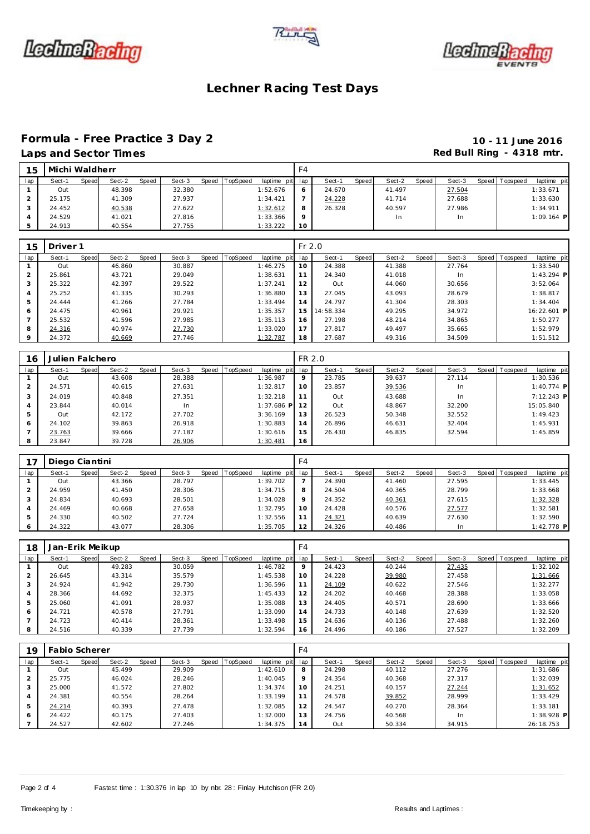





### **Formula - Free Practice 3 Day 2 10 - 11 June 2016**

# **Laps and Section 2 and Sector Times Red Bull Ring - 4318 mtr.**

| 15  | Michi Waldherr |       |        |       |        |       |          |                 | F4      |        |       |        |       |        |                |              |
|-----|----------------|-------|--------|-------|--------|-------|----------|-----------------|---------|--------|-------|--------|-------|--------|----------------|--------------|
| lap | Sect-1         | Speed | Sect-2 | Speed | Sect-3 | Speed | TopSpeed | laptime pit lap |         | Sect-1 | Speed | Sect-2 | Speed | Sect-3 | Speed Topspeed | laptime pit  |
|     | Out            |       | 48.398 |       | 32.380 |       |          | 1:52.676        | 6       | 24.670 |       | 41.497 |       | 27.504 |                | 1:33.671     |
|     | 25.175         |       | 41.309 |       | 27.937 |       |          | 1:34.421        |         | 24.228 |       | 41.714 |       | 27.688 |                | 1:33.630     |
| - 1 | 24.452         |       | 40.538 |       | 27.622 |       |          | 1:32.612        | 8       | 26.328 |       | 40.597 |       | 27.986 |                | 1:34.911     |
|     | 24.529         |       | 41.021 |       | 27.816 |       |          | 1:33.366        | $\circ$ |        |       | 1n     |       | In     |                | $1:09.164$ P |
|     | 24.913         |       | 40.554 |       | 27.755 |       |          | 1:33.222        | 10      |        |       |        |       |        |                |              |

| 15  | Driver <sub>1</sub> |       |        |       |        |       |          |             | $Fr$ 2.0 |           |         |        |       |           |                 |              |
|-----|---------------------|-------|--------|-------|--------|-------|----------|-------------|----------|-----------|---------|--------|-------|-----------|-----------------|--------------|
| lap | Sect-1              | Speed | Sect-2 | Speed | Sect-3 | Speed | TopSpeed | laptime pit | lap      | Sect-1    | Speed I | Sect-2 | Speed | Sect-3    | Speed Tops peed | laptime pit  |
|     | Out                 |       | 46.860 |       | 30.887 |       |          | 1:46.275    | 10       | 24.388    |         | 41.388 |       | 27.764    |                 | 1:33.540     |
|     | 25.861              |       | 43.721 |       | 29.049 |       |          | 1:38.631    | 11       | 24.340    |         | 41.018 |       | <b>In</b> |                 | $1:43.294$ P |
|     | 25.322              |       | 42.397 |       | 29.522 |       |          | 1:37.241    | 12       | Out       |         | 44.060 |       | 30.656    |                 | 3:52.064     |
|     | 25.252              |       | 41.335 |       | 30.293 |       |          | 1:36.880    | 13       | 27.045    |         | 43.093 |       | 28.679    |                 | 1:38.817     |
|     | 24.444              |       | 41.266 |       | 27.784 |       |          | 1:33.494    | 14       | 24.797    |         | 41.304 |       | 28.303    |                 | 1:34.404     |
| 6   | 24.475              |       | 40.961 |       | 29.921 |       |          | 1:35.357    | 15       | 14:58.334 |         | 49.295 |       | 34.972    |                 | 16:22.601 P  |
|     | 25.532              |       | 41.596 |       | 27.985 |       |          | 1:35.113    | 16       | 27.198    |         | 48.214 |       | 34.865    |                 | 1:50.277     |
| 8   | 24.316              |       | 40.974 |       | 27.730 |       |          | 1:33.020    | 17       | 27.817    |         | 49.497 |       | 35.665    |                 | 1:52.979     |
|     | 24.372              |       | 40.669 |       | 27.746 |       |          | 1:32.787    | 18       | 27.687    |         | 49.316 |       | 34.509    |                 | 1:51.512     |

| 16             | Julien Falchero |       |        |       |        |                |              | FR 2.0 |        |       |        |       |        |                 |              |  |
|----------------|-----------------|-------|--------|-------|--------|----------------|--------------|--------|--------|-------|--------|-------|--------|-----------------|--------------|--|
| lap            | Sect-1          | Speed | Sect-2 | Speed | Sect-3 | Speed TopSpeed | laptime pit  | lap    | Sect-1 | Speed | Sect-2 | Speed | Sect-3 | Speed Tops peed | laptime pit  |  |
|                | Out             |       | 43.608 |       | 28.388 |                | 1:36.987     | 9      | 23.785 |       | 39.637 |       | 27.114 |                 | 1:30.536     |  |
| $\overline{2}$ | 24.571          |       | 40.615 |       | 27.631 |                | 1:32.817     | 10     | 23.857 |       | 39.536 |       | In     |                 | 1:40.774 P   |  |
| 3              | 24.019          |       | 40.848 |       | 27.351 |                | 1:32.218     | 11     | Out    |       | 43.688 |       | In     |                 | $7:12.243$ P |  |
| 4              | 23.844          |       | 40.014 |       | In     |                | $1:37.686$ P | 12     | Out    |       | 48.867 |       | 32.200 |                 | 15:05.840    |  |
| 5              | Out             |       | 42.172 |       | 27.702 |                | 3:36.169     | 13     | 26.523 |       | 50.348 |       | 32.552 |                 | 1:49.423     |  |
| 6              | 24.102          |       | 39.863 |       | 26.918 |                | 1:30.883     | 14     | 26.896 |       | 46.631 |       | 32.404 |                 | 1:45.931     |  |
|                | 23.763          |       | 39.666 |       | 27.187 |                | 1:30.616     | 15     | 26.430 |       | 46.835 |       | 32.594 |                 | 1:45.859     |  |
| 8              | 23.847          |       | 39.728 |       | 26.906 |                | 1:30.481     | 16     |        |       |        |       |        |                 |              |  |

|     | Diego Ciantini |       |        |       |        |                |             | F4      |        |       |        |       |        |                |             |
|-----|----------------|-------|--------|-------|--------|----------------|-------------|---------|--------|-------|--------|-------|--------|----------------|-------------|
| lap | Sect-1         | Speed | Sect-2 | Speed | Sect-3 | Speed TopSpeed | laptime pit | lap     | Sect-1 | Speed | Sect-2 | Speed | Sect-3 | Speed Topspeed | laptime pit |
|     | Out            |       | 43.366 |       | 28.797 |                | 1:39.702    |         | 24.390 |       | 41.460 |       | 27.595 |                | 1:33.445    |
|     | 24.959         |       | 41.450 |       | 28.306 |                | 1:34.715    | 8       | 24.504 |       | 40.365 |       | 28.799 |                | 1:33.668    |
|     | 24.834         |       | 40.693 |       | 28.501 |                | 1:34.028    | $\circ$ | 24.352 |       | 40.361 |       | 27.615 |                | 1:32.328    |
| 4   | 24.469         |       | 40.668 |       | 27.658 |                | 1:32.795    | 10      | 24.428 |       | 40.576 |       | 27.577 |                | 1:32.581    |
| 5   | 24.330         |       | 40.502 |       | 27.724 |                | 1:32.556    | 11      | 24.321 |       | 40.639 |       | 27.630 |                | 1:32.590    |
| O   | 24.322         |       | 43.077 |       | 28.306 |                | 1:35.705    | 12      | 24.326 |       | 40.486 |       | In     |                | 1:42.778 P  |

| 18  | Jan-Erik Meikup |       |        |       |        |                |             | F <sub>4</sub>  |        |       |        |       |        |                 |             |
|-----|-----------------|-------|--------|-------|--------|----------------|-------------|-----------------|--------|-------|--------|-------|--------|-----------------|-------------|
| lap | Sect-1          | Speed | Sect-2 | Speed | Sect-3 | Speed TopSpeed | laptime pit | lap             | Sect-1 | Speed | Sect-2 | Speed | Sect-3 | Speed Tops peed | laptime pit |
|     | Out             |       | 49.283 |       | 30.059 |                | 1:46.782    | $\mathsf Q$     | 24.423 |       | 40.244 |       | 27.435 |                 | 1:32.102    |
|     | 26.645          |       | 43.314 |       | 35.579 |                | 1:45.538    | 10 <sup>°</sup> | 24.228 |       | 39.980 |       | 27.458 |                 | 1:31.666    |
| 3   | 24.924          |       | 41.942 |       | 29.730 |                | 1:36.596    | 11              | 24.109 |       | 40.622 |       | 27.546 |                 | 1:32.277    |
| 4   | 28.366          |       | 44.692 |       | 32.375 |                | 1:45.433    | 12              | 24.202 |       | 40.468 |       | 28.388 |                 | 1:33.058    |
| 5   | 25.060          |       | 41.091 |       | 28.937 |                | 1:35.088    | 13              | 24.405 |       | 40.571 |       | 28.690 |                 | 1:33.666    |
| 6   | 24.721          |       | 40.578 |       | 27.791 |                | 1:33.090    | 14              | 24.733 |       | 40.148 |       | 27.639 |                 | 1:32.520    |
|     | 24.723          |       | 40.414 |       | 28.361 |                | 1:33.498    | 15              | 24.636 |       | 40.136 |       | 27.488 |                 | 1:32.260    |
| 8   | 24.516          |       | 40.339 |       | 27.739 |                | 1:32.594    | 16              | 24.496 |       | 40.186 |       | 27.527 |                 | 1:32.209    |

| 19  | <b>Fabio Scherer</b> |                 |        |                               | F4  |                 |                 |                 |                           |
|-----|----------------------|-----------------|--------|-------------------------------|-----|-----------------|-----------------|-----------------|---------------------------|
| lap | Sect-1<br>Speed      | Speed<br>Sect-2 | Sect-3 | Speed TopSpeed<br>laptime pit | lap | Speed<br>Sect-1 | Sect-2<br>Speed | Sect-3<br>Speed | T ops peed<br>laptime pit |
|     | Out                  | 45.499          | 29.909 | 1:42.610                      | 8   | 24.298          | 40.112          | 27.276          | 1:31.686                  |
|     | 25.775               | 46.024          | 28.246 | 1:40.045                      | 9   | 24.354          | 40.368          | 27.317          | 1:32.039                  |
| 3   | 25.000               | 41.572          | 27.802 | 1:34.374                      | 10  | 24.251          | 40.157          | 27.244          | 1:31.652                  |
|     | 24.381               | 40.554          | 28.264 | 1:33.199                      | 11  | 24.578          | 39.852          | 28.999          | 1:33.429                  |
| 5   | 24.214               | 40.393          | 27.478 | 1:32.085                      | 12  | 24.547          | 40.270          | 28.364          | 1:33.181                  |
| 6   | 24.422               | 40.175          | 27.403 | 1:32.000                      | 13  | 24.756          | 40.568          | <b>In</b>       | $1:38.928$ P              |
|     | 24.527               | 42.602          | 27.246 | 1:34.375                      | 14  | Out             | 50.334          | 34.915          | 26:18.753                 |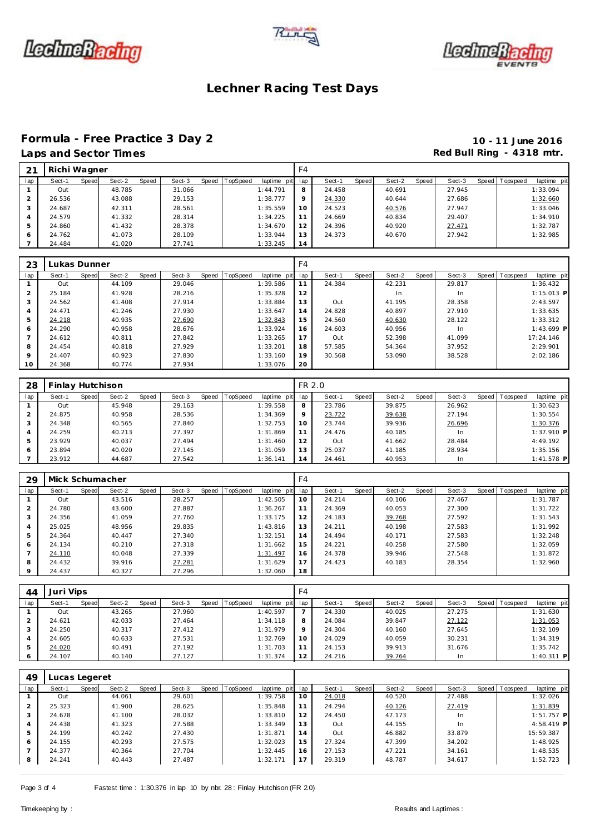





### **Formula - Free Practice 3 Day 2 10 - 11 June 2016**

### Laps and Sector Times **Red Bull Ring - 4318 mtr. Red Bull Ring - 4318 mtr.**

|     | Richi Wagner |       |        |       |        |                |             | F4  |        |       |        |       |        |                   |             |
|-----|--------------|-------|--------|-------|--------|----------------|-------------|-----|--------|-------|--------|-------|--------|-------------------|-------------|
| lap | Sect-1       | Speed | Sect-2 | Speed | Sect-3 | Speed TopSpeed | laptime pit | lap | Sect-1 | Speed | Sect-2 | Speed | Sect-3 | Speed   Tops peed | laptime pit |
|     | Out          |       | 48.785 |       | 31.066 |                | 1:44.791    | 8   | 24.458 |       | 40.691 |       | 27.945 |                   | 1:33.094    |
|     | 26.536       |       | 43.088 |       | 29.153 |                | 1:38.777    | 9   | 24.330 |       | 40.644 |       | 27.686 |                   | 1:32.660    |
| 3   | 24.687       |       | 42.311 |       | 28.561 |                | 1:35.559    | 10  | 24.523 |       | 40.576 |       | 27.947 |                   | 1:33.046    |
| 4   | 24.579       |       | 41.332 |       | 28.314 |                | 1:34.225    | 11  | 24.669 |       | 40.834 |       | 29.407 |                   | 1:34.910    |
| 5   | 24.860       |       | 41.432 |       | 28.378 |                | 1:34.670    | 12  | 24.396 |       | 40.920 |       | 27.471 |                   | 1:32.787    |
| 6   | 24.762       |       | 41.073 |       | 28.109 |                | 1:33.944    | 13  | 24.373 |       | 40.670 |       | 27.942 |                   | 1:32.985    |
|     | 24.484       |       | 41.020 |       | 27.741 |                | 1:33.245    | 14  |        |       |        |       |        |                   |             |

| 23             | Lukas Dunner |       |        |       |        |                |             | F <sub>4</sub> |        |       |        |       |        |                 |              |
|----------------|--------------|-------|--------|-------|--------|----------------|-------------|----------------|--------|-------|--------|-------|--------|-----------------|--------------|
| lap            | Sect-1       | Speed | Sect-2 | Speed | Sect-3 | Speed TopSpeed | laptime pit | lap            | Sect-1 | Speed | Sect-2 | Speed | Sect-3 | Speed Tops peed | laptime pit  |
|                | Out          |       | 44.109 |       | 29.046 |                | 1:39.586    | 11             | 24.384 |       | 42.231 |       | 29.817 |                 | 1:36.432     |
| $\overline{2}$ | 25.184       |       | 41.928 |       | 28.216 |                | 1:35.328    | 12             |        |       | In     |       | In     |                 | $1:15.013$ P |
| 3              | 24.562       |       | 41.408 |       | 27.914 |                | 1:33.884    | 13             | Out    |       | 41.195 |       | 28.358 |                 | 2:43.597     |
| $\overline{4}$ | 24.471       |       | 41.246 |       | 27.930 |                | 1:33.647    | 14             | 24.828 |       | 40.897 |       | 27.910 |                 | 1:33.635     |
| 5              | 24.218       |       | 40.935 |       | 27.690 |                | 1:32.843    | 15             | 24.560 |       | 40.630 |       | 28.122 |                 | 1:33.312     |
| 6              | 24.290       |       | 40.958 |       | 28.676 |                | 1:33.924    | 16             | 24.603 |       | 40.956 |       | In.    |                 | $1:43.699$ P |
|                | 24.612       |       | 40.811 |       | 27.842 |                | 1:33.265    | 17             | Out    |       | 52.398 |       | 41.099 |                 | 17:24.146    |
| 8              | 24.454       |       | 40.818 |       | 27.929 |                | 1:33.201    | 18             | 57.585 |       | 54.364 |       | 37.952 |                 | 2:29.901     |
| $\circ$        | 24.407       |       | 40.923 |       | 27.830 |                | 1:33.160    | 19             | 30.568 |       | 53.090 |       | 38.528 |                 | 2:02.186     |
| 10             | 24.368       |       | 40.774 |       | 27.934 |                | 1:33.076    | 20             |        |       |        |       |        |                 |              |

| 28  | Finlay Hutchison |       |        |       |        |                |             | FR 2.0  |        |       |        |       |           |       |            |              |
|-----|------------------|-------|--------|-------|--------|----------------|-------------|---------|--------|-------|--------|-------|-----------|-------|------------|--------------|
| lap | Sect-1           | Speed | Sect-2 | Speed | Sect-3 | Speed TopSpeed | laptime pit | lap     | Sect-1 | Speed | Sect-2 | Speed | Sect-3    | Speed | T ops peed | laptime pit  |
|     | Out              |       | 45.948 |       | 29.163 |                | 1:39.558    | 8       | 23.786 |       | 39.875 |       | 26.962    |       |            | 1:30.623     |
|     | 24.875           |       | 40.958 |       | 28.536 |                | 1:34.369    | $\circ$ | 23.722 |       | 39.638 |       | 27.194    |       |            | 1:30.554     |
|     | 24.348           |       | 40.565 |       | 27.840 |                | 1:32.753    | 10      | 23.744 |       | 39.936 |       | 26.696    |       |            | 1:30.376     |
| 4   | 24.259           |       | 40.213 |       | 27.397 |                | 1:31.869    | 11      | 24.476 |       | 40.185 |       | <b>In</b> |       |            | $1:37.910$ P |
| 5   | 23.929           |       | 40.037 |       | 27.494 |                | 1:31.460    | 12      | Out    |       | 41.662 |       | 28.484    |       |            | 4:49.192     |
| 6   | 23.894           |       | 40.020 |       | 27.145 |                | 1:31.059    | 13      | 25.037 |       | 41.185 |       | 28.934    |       |            | 1:35.156     |
|     | 23.912           |       | 44.687 |       | 27.542 |                | 1:36.141    | 14      | 24.461 |       | 40.953 |       | In.       |       |            | $1:41.578$ P |

| 29      | Mick Schumacher |       |        |       |        |       |          |                 | F <sub>4</sub> |        |       |        |       |        |                 |             |
|---------|-----------------|-------|--------|-------|--------|-------|----------|-----------------|----------------|--------|-------|--------|-------|--------|-----------------|-------------|
| lap     | Sect-1          | Speed | Sect-2 | Speed | Sect-3 | Speed | TopSpeed | laptime pit lap |                | Sect-1 | Speed | Sect-2 | Speed | Sect-3 | Speed Tops peed | laptime pit |
|         | Out             |       | 43.516 |       | 28.257 |       |          | 1:42.505        | 10             | 24.214 |       | 40.106 |       | 27.467 |                 | 1:31.787    |
|         | 24.780          |       | 43.600 |       | 27.887 |       |          | 1:36.267        | 11             | 24.369 |       | 40.053 |       | 27.300 |                 | 1:31.722    |
| $\cdot$ | 24.356          |       | 41.059 |       | 27.760 |       |          | 1:33.175        | 12             | 24.183 |       | 39.768 |       | 27.592 |                 | 1:31.543    |
|         | 25.025          |       | 48.956 |       | 29.835 |       |          | 1:43.816        | 1.3            | 24.211 |       | 40.198 |       | 27.583 |                 | 1:31.992    |
|         | 24.364          |       | 40.447 |       | 27.340 |       |          | 1:32.151        | 14             | 24.494 |       | 40.171 |       | 27.583 |                 | 1:32.248    |
| 6       | 24.134          |       | 40.210 |       | 27.318 |       |          | 1:31.662        | 15             | 24.221 |       | 40.258 |       | 27.580 |                 | 1:32.059    |
|         | 24.110          |       | 40.048 |       | 27.339 |       |          | 1:31.497        | 16             | 24.378 |       | 39.946 |       | 27.548 |                 | 1:31.872    |
| 8       | 24.432          |       | 39.916 |       | 27.281 |       |          | 1:31.629        | 17             | 24.423 |       | 40.183 |       | 28.354 |                 | 1:32.960    |
|         | 24.437          |       | 40.327 |       | 27.296 |       |          | 1:32.060        | 18             |        |       |        |       |        |                 |             |

| 44  | Juri Vips |       |        |       |        |       |          |             | F4      |        |       |        |       |        |                |              |
|-----|-----------|-------|--------|-------|--------|-------|----------|-------------|---------|--------|-------|--------|-------|--------|----------------|--------------|
| lap | Sect-1    | Speed | Sect-2 | Speed | Sect-3 | Speed | TopSpeed | laptime pit | lap     | Sect-1 | Speed | Sect-2 | Speed | Sect-3 | Speed Topspeed | laptime pit  |
|     | Out       |       | 43.265 |       | 27.960 |       |          | 1:40.597    |         | 24.330 |       | 40.025 |       | 27.275 |                | 1:31.630     |
|     | 24.621    |       | 42.033 |       | 27.464 |       |          | 1:34.118    | 8       | 24.084 |       | 39.847 |       | 27.122 |                | 1:31.053     |
| 3   | 24.250    |       | 40.317 |       | 27.412 |       |          | 1:31.979    | $\circ$ | 24.304 |       | 40.160 |       | 27.645 |                | 1:32.109     |
| 4   | 24.605    |       | 40.633 |       | 27.531 |       |          | 1:32.769    | 10      | 24.029 |       | 40.059 |       | 30.231 |                | 1:34.319     |
|     | 24.020    |       | 40.491 |       | 27.192 |       |          | 1:31.703    |         | 24.153 |       | 39.913 |       | 31.676 |                | 1:35.742     |
| 6   | 24.107    |       | 40.140 |       | 27.127 |       |          | 1:31.374    | 12      | 24.216 |       | 39.764 |       | In     |                | $1:40.311$ P |

| 49  | Lucas Legeret |       |        |       |        |                |             |                 |        |       |        |       |        |                |              |  |
|-----|---------------|-------|--------|-------|--------|----------------|-------------|-----------------|--------|-------|--------|-------|--------|----------------|--------------|--|
| lap | Sect-1        | Speed | Sect-2 | Speed | Sect-3 | Speed TopSpeed | laptime pit | lap             | Sect-1 | Speed | Sect-2 | Speed | Sect-3 | Speed Topspeed | laptime pit  |  |
|     | Out           |       | 44.061 |       | 29.601 |                | 1:39.758    | 10              | 24.018 |       | 40.520 |       | 27.488 |                | 1:32.026     |  |
|     | 25.323        |       | 41.900 |       | 28.625 |                | 1:35.848    | 11              | 24.294 |       | 40.126 |       | 27.419 |                | 1:31.839     |  |
| 3   | 24.678        |       | 41.100 |       | 28.032 |                | 1:33.810    | 12 <sup>1</sup> | 24.450 |       | 47.173 |       | In.    |                | $1:51.757$ P |  |
| 4   | 24.438        |       | 41.323 |       | 27.588 |                | 1:33.349    | 13              | Out    |       | 44.155 |       | In.    |                | $4:58.419$ P |  |
| 5   | 24.199        |       | 40.242 |       | 27.430 |                | 1:31.871    | 14              | Out    |       | 46.882 |       | 33.879 |                | 15:59.387    |  |
| 6   | 24.155        |       | 40.293 |       | 27.575 |                | 1:32.023    | 15              | 27.324 |       | 47.399 |       | 34.202 |                | 1:48.925     |  |
|     | 24.377        |       | 40.364 |       | 27.704 |                | 1:32.445    | 16              | 27.153 |       | 47.221 |       | 34.161 |                | 1:48.535     |  |
| 8   | 24.241        |       | 40.443 |       | 27.487 |                | 1:32.171    | 17              | 29.319 |       | 48.787 |       | 34.617 |                | 1:52.723     |  |